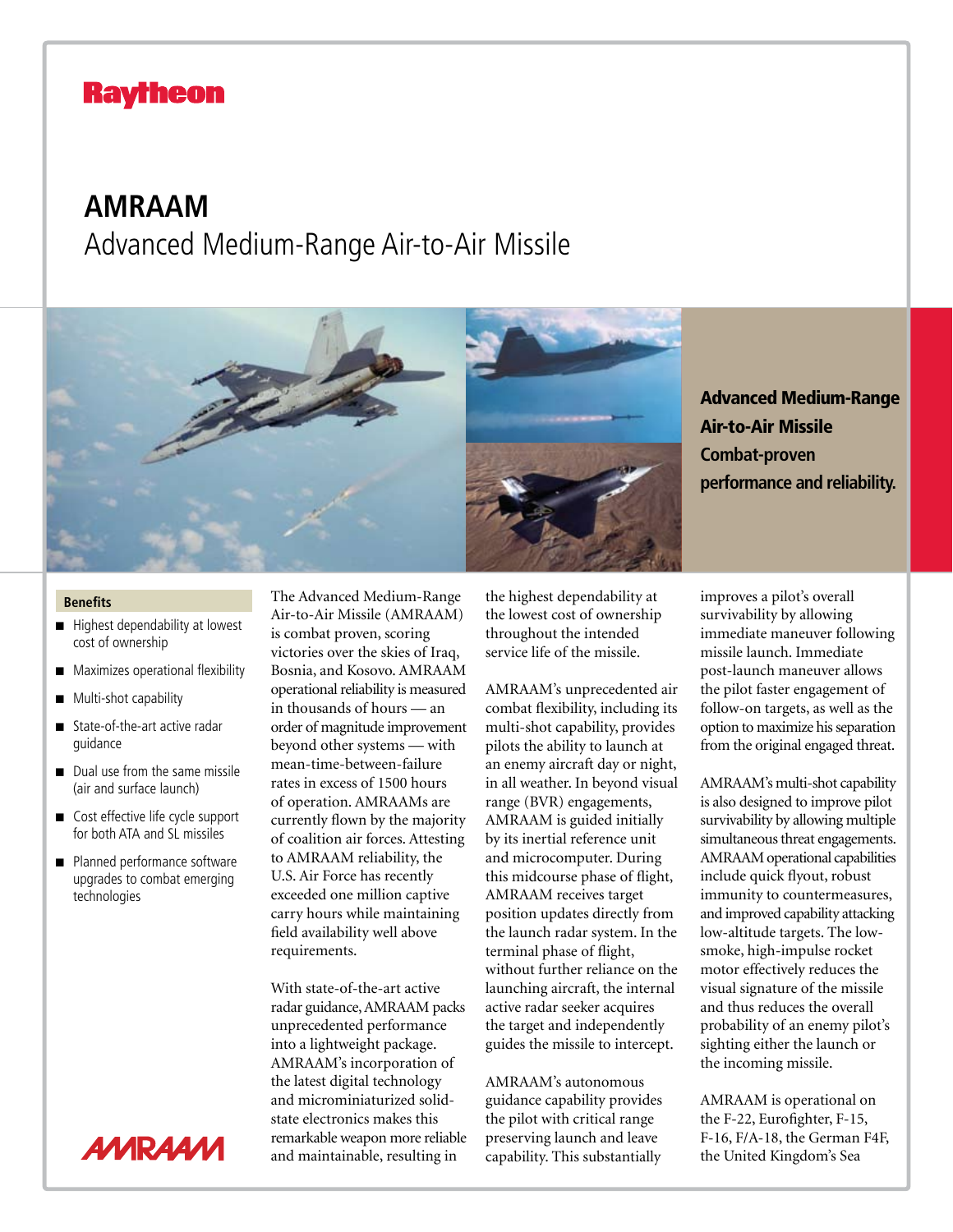## **Raytheon**

## **AMRAAM** Advanced Medium-Range Air-to-Air Missile



Advanced Medium-Range Air-to-Air Missile **Combat-proven performance and reliability.**

## **Benefits**

- Highest dependability at lowest cost of ownership
- **EXECUTE:** Maximizes operational flexibility
- **Multi-shot capability**
- state-of-the-art active radar guidance
- $\Box$  Dual use from the same missile (air and surface launch)
- $\Box$  Cost effective life cycle support for both ATA and SL missiles
- **Planned performance software** upgrades to combat emerging technologies



The Advanced Medium-Range Air-to-Air Missile (AMRAAM) is combat proven, scoring victories over the skies of Iraq, Bosnia, and Kosovo. AMRAAM operational reliability is measured in thousands of hours — an order of magnitude improvement beyond other systems — with mean-time-between-failure rates in excess of 1500 hours of operation. AMRAAMs are currently flown by the majority of coalition air forces. Attesting to AMRAAM reliability, the U.S. Air Force has recently exceeded one million captive carry hours while maintaining field availability well above requirements.

With state-of-the-art active radar guidance, AMRAAM packs unprecedented performance into a lightweight package. AMRAAM's incorporation of the latest digital technology and microminiaturized solidstate electronics makes this remarkable weapon more reliable and maintainable, resulting in

the highest dependability at the lowest cost of ownership throughout the intended service life of the missile.

AMRAAM's unprecedented air combat flexibility, including its multi-shot capability, provides pilots the ability to launch at an enemy aircraft day or night, in all weather. In beyond visual range (BVR) engagements, AMRAAM is guided initially by its inertial reference unit and microcomputer. During this midcourse phase of flight, AMRAAM receives target position updates directly from the launch radar system. In the terminal phase of flight, without further reliance on the launching aircraft, the internal active radar seeker acquires the target and independently guides the missile to intercept.

AMRAAM's autonomous guidance capability provides the pilot with critical range preserving launch and leave capability. This substantially

improves a pilot's overall survivability by allowing immediate maneuver following missile launch. Immediate post-launch maneuver allows the pilot faster engagement of follow-on targets, as well as the option to maximize his separation from the original engaged threat.

AMRAAM's multi-shot capability is also designed to improve pilot survivability by allowing multiple simultaneous threat engagements. AMRAAM operational capabilities include quick flyout, robust immunity to countermeasures, and improved capability attacking low-altitude targets. The lowsmoke, high-impulse rocket motor effectively reduces the visual signature of the missile and thus reduces the overall probability of an enemy pilot's sighting either the launch or the incoming missile.

AMRAAM is operational on the F-22, Eurofighter, F-15, F-16, F/A-18, the German F4F, the United Kingdom's Sea